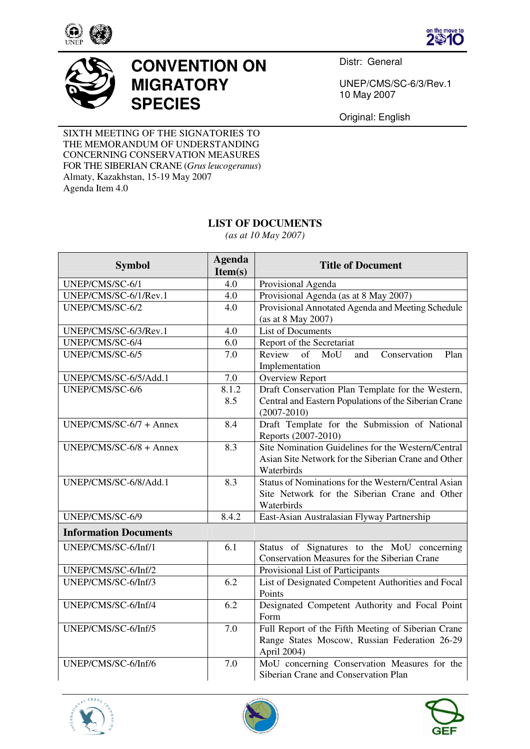





## **CONVENTION ON MIGRATORY SPECIES**

Distr: General

UNEP/CMS/SC-6/3/Rev.1 10 May 2007

Original: English

SIXTH MEETING OF THE SIGNATORIES TO THE MEMORANDUM OF UNDERSTANDING CONCERNING CONSERVATION MEASURES FOR THE SIBERIAN CRANE (*Grus leucogeranus*) Almaty, Kazakhstan, 15-19 May 2007 Agenda Item 4.0

## **LIST OF DOCUMENTS**

*(as at 10 May 2007)* 

| <b>Symbol</b>                | <b>Agenda</b><br>Item(s) | <b>Title of Document</b>                                                                                                |
|------------------------------|--------------------------|-------------------------------------------------------------------------------------------------------------------------|
| UNEP/CMS/SC-6/1              | 4.0                      | Provisional Agenda                                                                                                      |
| UNEP/CMS/SC-6/1/Rev.1        | 4.0                      | Provisional Agenda (as at 8 May 2007)                                                                                   |
| UNEP/CMS/SC-6/2              | 4.0                      | Provisional Annotated Agenda and Meeting Schedule<br>(as at 8 May 2007)                                                 |
| UNEP/CMS/SC-6/3/Rev.1        | 4.0                      | List of Documents                                                                                                       |
| UNEP/CMS/SC-6/4              | 6.0                      | Report of the Secretariat                                                                                               |
| UNEP/CMS/SC-6/5              | 7.0                      | Review of<br>MoU<br>and<br>Conservation<br>Plan<br>Implementation                                                       |
| UNEP/CMS/SC-6/5/Add.1        | 7.0                      | Overview Report                                                                                                         |
| UNEP/CMS/SC-6/6              | 8.1.2                    | Draft Conservation Plan Template for the Western,                                                                       |
|                              | 8.5                      | Central and Eastern Populations of the Siberian Crane<br>$(2007 - 2010)$                                                |
| $UNEP/CMS/SC-6/7 + Annex$    | 8.4                      | Draft Template for the Submission of National<br>Reports (2007-2010)                                                    |
| $UNEP/CMS/SC-6/8 + Annex$    | 8.3                      | Site Nomination Guidelines for the Western/Central<br>Asian Site Network for the Siberian Crane and Other<br>Waterbirds |
| UNEP/CMS/SC-6/8/Add.1        | 8.3                      | Status of Nominations for the Western/Central Asian<br>Site Network for the Siberian Crane and Other<br>Waterbirds      |
| UNEP/CMS/SC-6/9              | 8.4.2                    | East-Asian Australasian Flyway Partnership                                                                              |
| <b>Information Documents</b> |                          |                                                                                                                         |
| UNEP/CMS/SC-6/Inf/1          | 6.1                      | Status of Signatures to the MoU concerning<br>Conservation Measures for the Siberian Crane                              |
| UNEP/CMS/SC-6/Inf/2          |                          | Provisional List of Participants                                                                                        |
| UNEP/CMS/SC-6/Inf/3          | 6.2                      | List of Designated Competent Authorities and Focal<br>Points                                                            |
| UNEP/CMS/SC-6/Inf/4          | 6.2                      | Designated Competent Authority and Focal Point<br>Form                                                                  |
| UNEP/CMS/SC-6/Inf/5          | 7.0                      | Full Report of the Fifth Meeting of Siberian Crane<br>Range States Moscow, Russian Federation 26-29<br>April 2004)      |
| UNEP/CMS/SC-6/Inf/6          | 7.0                      | MoU concerning Conservation Measures for the<br>Siberian Crane and Conservation Plan                                    |